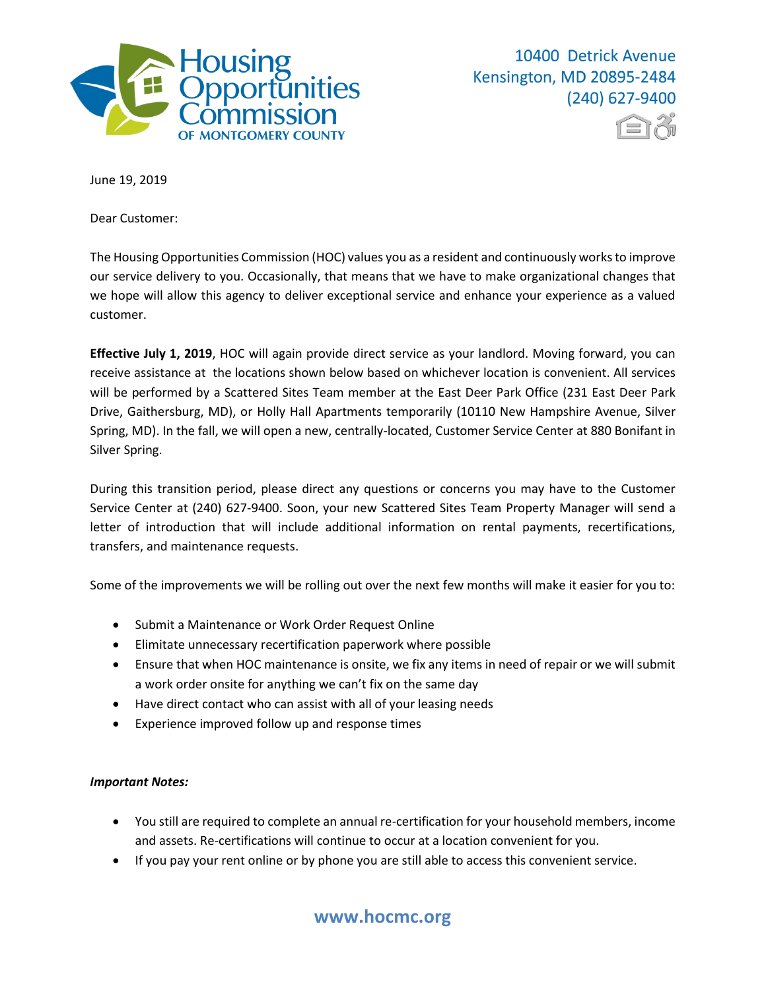



June 19, 2019

Dear Customer:

The Housing Opportunities Commission (HOC) values you as a resident and continuously worksto improve our service delivery to you. Occasionally, that means that we have to make organizational changes that we hope will allow this agency to deliver exceptional service and enhance your experience as a valued customer.

**Effective July 1, 2019**, HOC will again provide direct service as your landlord. Moving forward, you can receive assistance at the locations shown below based on whichever location is convenient. All services will be performed by a Scattered Sites Team member at the East Deer Park Office (231 East Deer Park Drive, Gaithersburg, MD), or Holly Hall Apartments temporarily (10110 New Hampshire Avenue, Silver Spring, MD). In the fall, we will open a new, centrally-located, Customer Service Center at 880 Bonifant in Silver Spring.

During this transition period, please direct any questions or concerns you may have to the Customer Service Center at (240) 627-9400. Soon, your new Scattered Sites Team Property Manager will send a letter of introduction that will include additional information on rental payments, recertifications, transfers, and maintenance requests.

Some of the improvements we will be rolling out over the next few months will make it easier for you to:

- Submit a Maintenance or Work Order Request Online
- Elimitate unnecessary recertification paperwork where possible
- Ensure that when HOC maintenance is onsite, we fix any items in need of repair or we will submit a work order onsite for anything we can't fix on the same day
- Have direct contact who can assist with all of your leasing needs
- Experience improved follow up and response times

## *Important Notes:*

- You still are required to complete an annual re-certification for your household members, income and assets. Re-certifications will continue to occur at a location convenient for you.
- If you pay your rent online or by phone you are still able to access this convenient service.

## **www.hocmc.org**